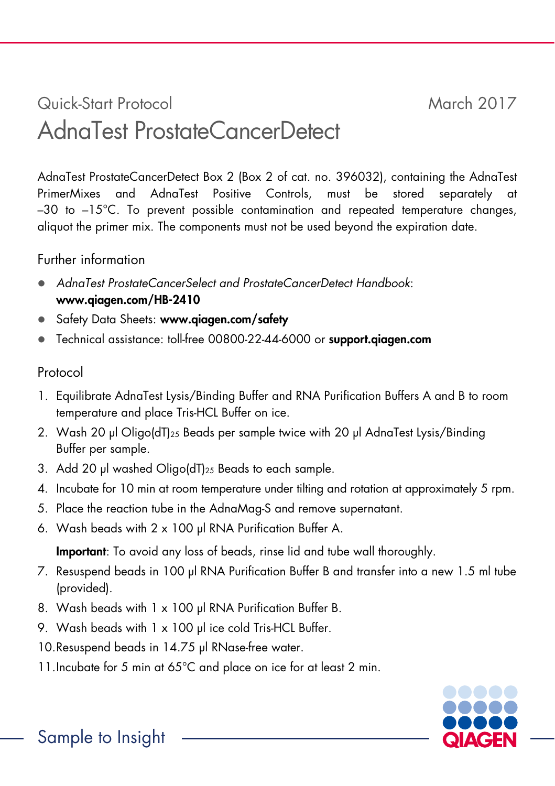# Quick-Start Protocol March 2017 AdnaTest ProstateCancerDetect

AdnaTest ProstateCancerDetect Box 2 (Box 2 of cat. no. 396032), containing the AdnaTest PrimerMixes and AdnaTest Positive Controls, must be stored separately at  $-30$  to  $-15^{\circ}$ C. To prevent possible contamination and repeated temperature changes, aliquot the primer mix. The components must not be used beyond the expiration date.

## Further information

- AdnaTest ProstateCancerSelect and ProstateCancerDetect Handbook: www.qiagen.com/HB-2410
- Safety Data Sheets: www.qiagen.com/safety
- Technical assistance: toll-free 00800-22-44-6000 or support.qiagen.com

# Protocol

- 1. Equilibrate AdnaTest Lysis/Binding Buffer and RNA Purification Buffers A and B to room temperature and place Tris-HCL Buffer on ice.
- 2. Wash 20 μl Oligo(dT)25 Beads per sample twice with 20 μl AdnaTest Lysis/Binding Buffer per sample.
- 3. Add 20 μl washed Oligo(dT)25 Beads to each sample.
- 4. Incubate for 10 min at room temperature under tilting and rotation at approximately 5 rpm.
- 5. Place the reaction tube in the AdnaMag-S and remove supernatant.
- 6. Wash beads with 2 x 100 μl RNA Purification Buffer A.

Important: To avoid any loss of beads, rinse lid and tube wall thoroughly.

- 7. Resuspend beads in 100 μl RNA Purification Buffer B and transfer into a new 1.5 ml tube (provided).
- 8. Wash beads with 1 x 100 μl RNA Purification Buffer B.
- 9. Wash beads with 1 x 100 μl ice cold Tris-HCL Buffer.
- 10.Resuspend beads in 14.75 μl RNase-free water.
- 11. Incubate for 5 min at 65°C and place on ice for at least 2 min.

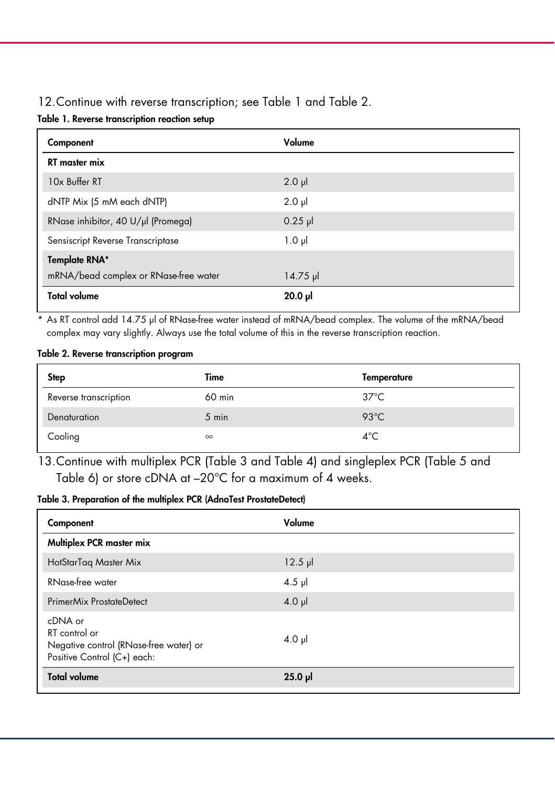## 12.Continue with reverse transcription; see Table 1 and Table 2.

|  |  | Table 1. Reverse transcription reaction setup |  |  |
|--|--|-----------------------------------------------|--|--|
|--|--|-----------------------------------------------|--|--|

| Component                             | Volume      |
|---------------------------------------|-------------|
| <b>RT</b> master mix                  |             |
| 10x Buffer RT                         | $2.0$ $\mu$ |
| dNTP Mix (5 mM each dNTP)             | $2.0$ $\mu$ |
| RNase inhibitor, 40 U/µl (Promega)    | $0.25$ pl   |
| Sensiscript Reverse Transcriptase     | $1.0 \mu$   |
| <b>Template RNA*</b>                  |             |
| mRNA/bead complex or RNase-free water | $14.75 \mu$ |
| <b>Total volume</b>                   | $20.0$ pl   |

\* As RT control add 14.75 μl of RNase-free water instead of mRNA/bead complex. The volume of the mRNA/bead complex may vary slightly. Always use the total volume of this in the reverse transcription reaction.

#### Table 2. Reverse transcription program

| <b>Step</b>           | Time     | Temperature    |
|-----------------------|----------|----------------|
| Reverse transcription | 60 min   | $37^{\circ}$ C |
| Denaturation          | 5 min    | $93^{\circ}$ C |
| Cooling               | $\infty$ | $4^{\circ}$ C  |

13.Continue with multiplex PCR (Table 3 and Table 4) and singleplex PCR (Table 5 and Table 6) or store cDNA at –20°C for a maximum of 4 weeks.

## Table 3. Preparation of the multiplex PCR (AdnaTest ProstateDetect)

| Component                                                                                         | Volume    |
|---------------------------------------------------------------------------------------------------|-----------|
| Multiplex PCR master mix                                                                          |           |
| HotStarTaq Master Mix                                                                             | $12.5$ pl |
| RNase-free water                                                                                  | $4.5$ pl  |
| PrimerMix ProstateDetect                                                                          | $4.0$ pl  |
| cDNA or<br>RT control or<br>Negative control (RNase-free water) or<br>Positive Control (C+) each: | $4.0$ pl  |
| <b>Total volume</b>                                                                               | $25.0$ pl |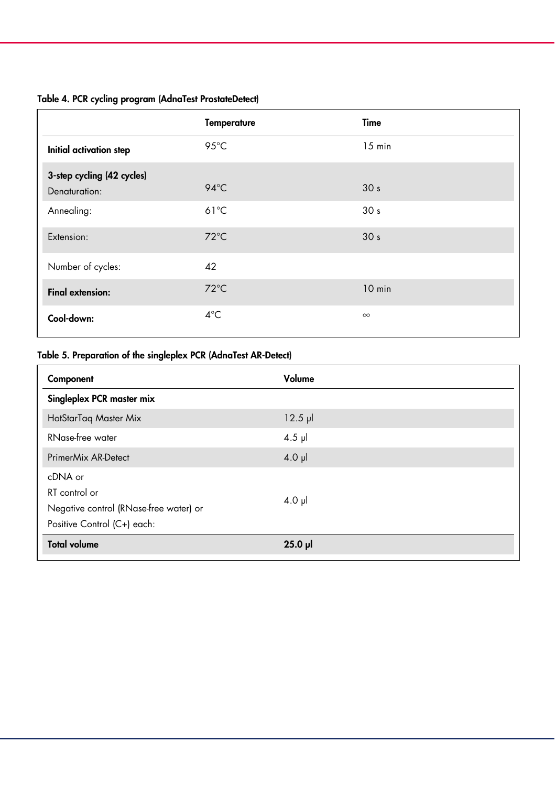## Table 4. PCR cycling program (AdnaTest ProstateDetect)

|                                             | <b>Temperature</b> | Time            |
|---------------------------------------------|--------------------|-----------------|
| Initial activation step                     | 95°C               | $15$ min        |
| 3-step cycling (42 cycles)<br>Denaturation: | $94^{\circ}$ C     | 30 <sub>s</sub> |
| Annealing:                                  | $61^{\circ}$ C     | 30 <sub>s</sub> |
| Extension:                                  | $72^{\circ}$ C     | 30 <sub>s</sub> |
| Number of cycles:                           | 42                 |                 |
| <b>Final extension:</b>                     | $72^{\circ}$ C     | 10 min          |
| Cool-down:                                  | $4^{\circ}$ C      | $\infty$        |

## Table 5. Preparation of the singleplex PCR (AdnaTest AR-Detect)

| Component                                                                                         | Volume       |
|---------------------------------------------------------------------------------------------------|--------------|
| Singleplex PCR master mix                                                                         |              |
| HotStarTag Master Mix                                                                             | $12.5$ $\mu$ |
| RNase-free water                                                                                  | $4.5$ µ      |
| PrimerMix AR-Detect                                                                               | $4.0$ pl     |
| cDNA or<br>RT control or<br>Negative control (RNase-free water) or<br>Positive Control (C+) each: | $4.0$ pl     |
| <b>Total volume</b>                                                                               | $25.0$ pl    |